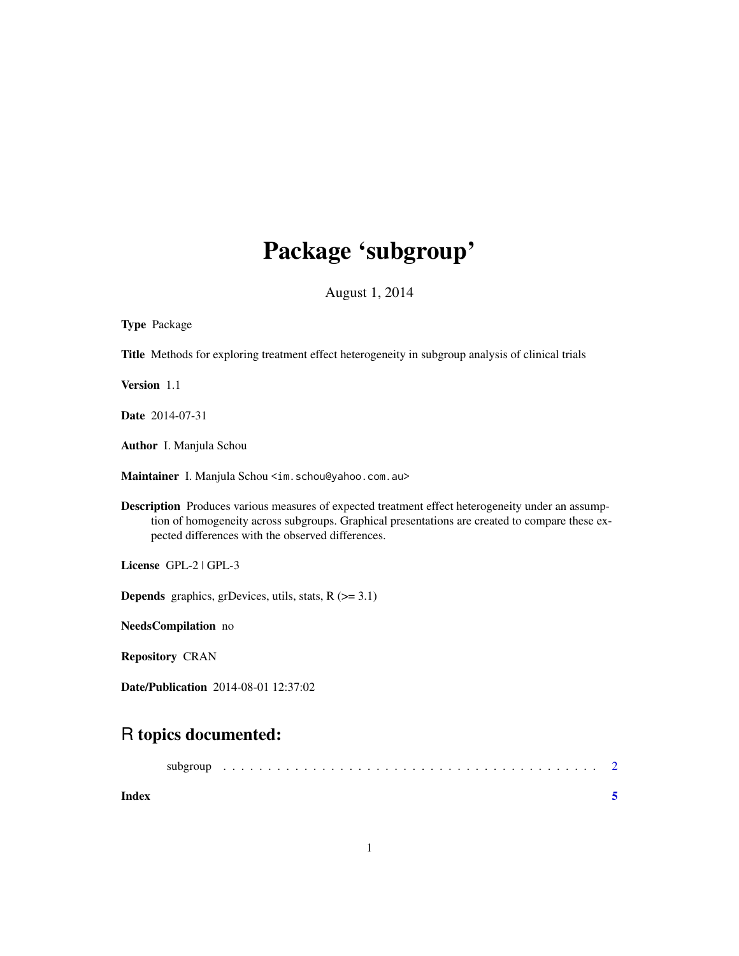## Package 'subgroup'

August 1, 2014

| <b>Type Package</b>                                                                                                                                                                                                                                             |
|-----------------------------------------------------------------------------------------------------------------------------------------------------------------------------------------------------------------------------------------------------------------|
| Title Methods for exploring treatment effect heterogeneity in subgroup analysis of clinical trials                                                                                                                                                              |
| Version 1.1                                                                                                                                                                                                                                                     |
| Date 2014-07-31                                                                                                                                                                                                                                                 |
| Author I. Manjula Schou                                                                                                                                                                                                                                         |
| Maintainer I. Manjula Schou <im. schou@yahoo.com.au=""></im.>                                                                                                                                                                                                   |
| <b>Description</b> Produces various measures of expected treatment effect heterogeneity under an assump-<br>tion of homogeneity across subgroups. Graphical presentations are created to compare these ex-<br>pected differences with the observed differences. |
| License GPL-2   GPL-3                                                                                                                                                                                                                                           |
| <b>Depends</b> graphics, grDevices, utils, stats, $R$ ( $>= 3.1$ )                                                                                                                                                                                              |
| NeedsCompilation no                                                                                                                                                                                                                                             |
| <b>Repository CRAN</b>                                                                                                                                                                                                                                          |
| <b>Date/Publication</b> 2014-08-01 12:37:02                                                                                                                                                                                                                     |
| R topics documented:                                                                                                                                                                                                                                            |
| subgroup                                                                                                                                                                                                                                                        |

| Index |  |  |  |  |  |  |  |  |  |  |  |  |  |  |  |  |  |  |
|-------|--|--|--|--|--|--|--|--|--|--|--|--|--|--|--|--|--|--|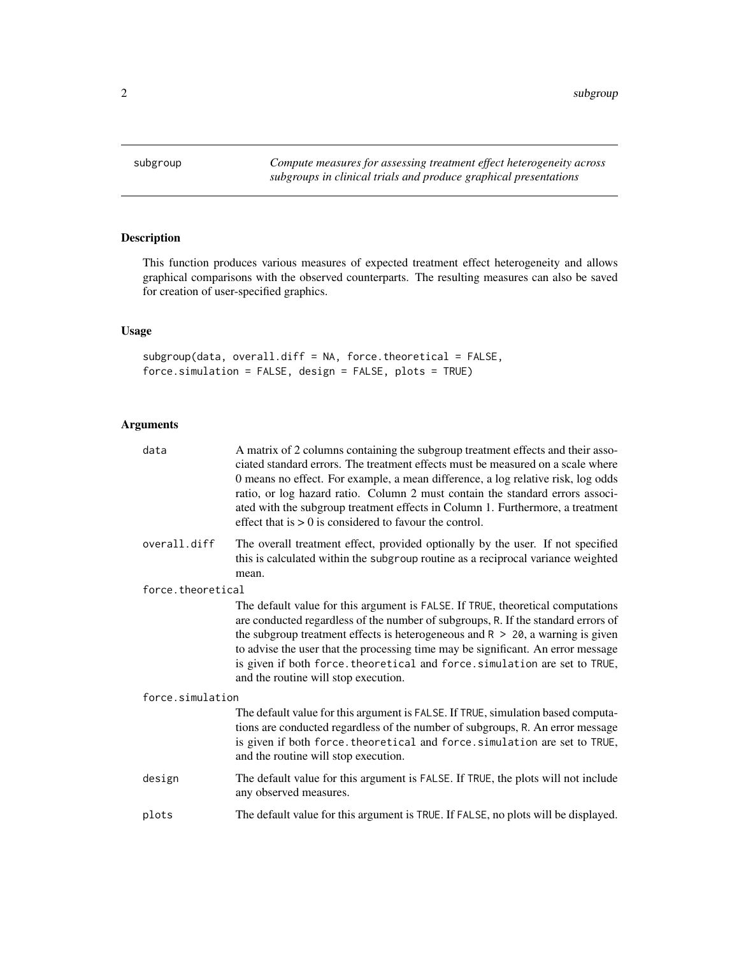<span id="page-1-0"></span>

## Description

This function produces various measures of expected treatment effect heterogeneity and allows graphical comparisons with the observed counterparts. The resulting measures can also be saved for creation of user-specified graphics.

### Usage

subgroup(data, overall.diff = NA, force.theoretical = FALSE, force.simulation = FALSE, design = FALSE, plots = TRUE)

## Arguments

| data              | A matrix of 2 columns containing the subgroup treatment effects and their asso-<br>ciated standard errors. The treatment effects must be measured on a scale where<br>0 means no effect. For example, a mean difference, a log relative risk, log odds<br>ratio, or log hazard ratio. Column 2 must contain the standard errors associ-<br>ated with the subgroup treatment effects in Column 1. Furthermore, a treatment<br>effect that is $> 0$ is considered to favour the control. |
|-------------------|----------------------------------------------------------------------------------------------------------------------------------------------------------------------------------------------------------------------------------------------------------------------------------------------------------------------------------------------------------------------------------------------------------------------------------------------------------------------------------------|
| overall.diff      | The overall treatment effect, provided optionally by the user. If not specified<br>this is calculated within the subgroup routine as a reciprocal variance weighted<br>mean.                                                                                                                                                                                                                                                                                                           |
| force.theoretical |                                                                                                                                                                                                                                                                                                                                                                                                                                                                                        |
|                   | The default value for this argument is FALSE. If TRUE, theoretical computations<br>are conducted regardless of the number of subgroups, R. If the standard errors of<br>the subgroup treatment effects is heterogeneous and $R > 20$ , a warning is given<br>to advise the user that the processing time may be significant. An error message<br>is given if both force. theoretical and force. simulation are set to TRUE,<br>and the routine will stop execution.                    |
| force.simulation  |                                                                                                                                                                                                                                                                                                                                                                                                                                                                                        |
|                   | The default value for this argument is FALSE. If TRUE, simulation based computa-<br>tions are conducted regardless of the number of subgroups, R. An error message<br>is given if both force. theoretical and force. simulation are set to TRUE,<br>and the routine will stop execution.                                                                                                                                                                                               |
| design            | The default value for this argument is FALSE. If TRUE, the plots will not include<br>any observed measures.                                                                                                                                                                                                                                                                                                                                                                            |
| plots             | The default value for this argument is TRUE. If FALSE, no plots will be displayed.                                                                                                                                                                                                                                                                                                                                                                                                     |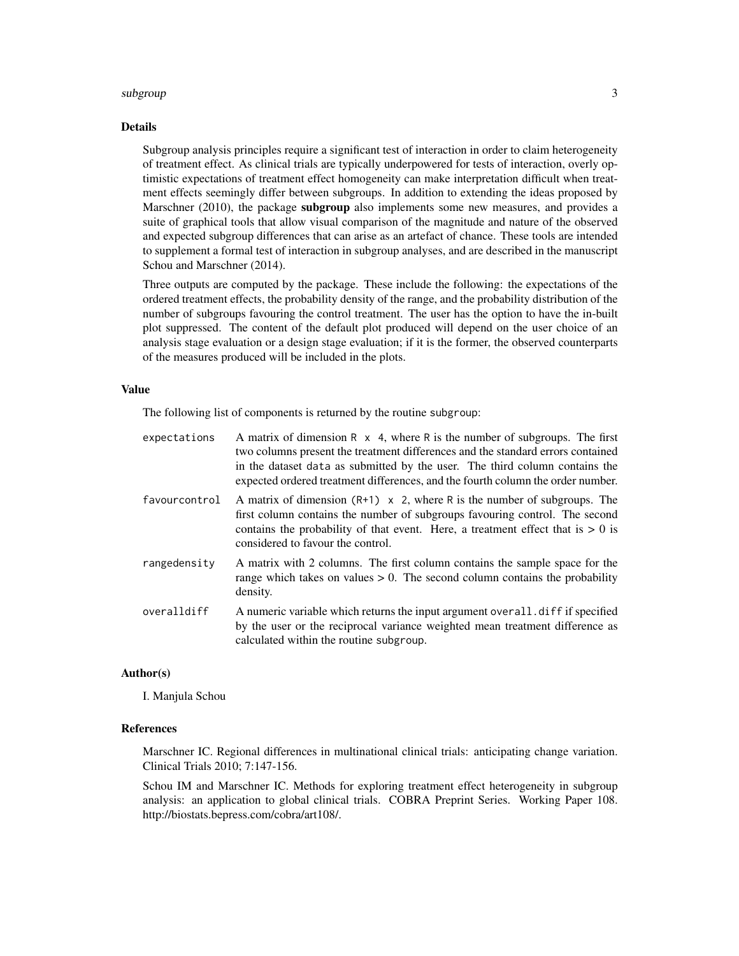#### subgroup 3 and 3 and 3 and 3 and 3 and 3 and 3 and 3 and 3 and 3 and 3 and 3 and 3 and 3 and 3 and 3 and 3 and 3 and 3 and 3 and 3 and 3 and 3 and 3 and 3 and 3 and 3 and 3 and 3 and 3 and 3 and 3 and 3 and 3 and 3 and 3 a

#### Details

Subgroup analysis principles require a significant test of interaction in order to claim heterogeneity of treatment effect. As clinical trials are typically underpowered for tests of interaction, overly optimistic expectations of treatment effect homogeneity can make interpretation difficult when treatment effects seemingly differ between subgroups. In addition to extending the ideas proposed by Marschner (2010), the package **subgroup** also implements some new measures, and provides a suite of graphical tools that allow visual comparison of the magnitude and nature of the observed and expected subgroup differences that can arise as an artefact of chance. These tools are intended to supplement a formal test of interaction in subgroup analyses, and are described in the manuscript Schou and Marschner (2014).

Three outputs are computed by the package. These include the following: the expectations of the ordered treatment effects, the probability density of the range, and the probability distribution of the number of subgroups favouring the control treatment. The user has the option to have the in-built plot suppressed. The content of the default plot produced will depend on the user choice of an analysis stage evaluation or a design stage evaluation; if it is the former, the observed counterparts of the measures produced will be included in the plots.

#### Value

The following list of components is returned by the routine subgroup:

| expectations  | A matrix of dimension $R \times 4$ , where R is the number of subgroups. The first<br>two columns present the treatment differences and the standard errors contained<br>in the dataset data as submitted by the user. The third column contains the<br>expected ordered treatment differences, and the fourth column the order number. |
|---------------|-----------------------------------------------------------------------------------------------------------------------------------------------------------------------------------------------------------------------------------------------------------------------------------------------------------------------------------------|
| favourcontrol | A matrix of dimension $(R+1) \times 2$ , where R is the number of subgroups. The<br>first column contains the number of subgroups favouring control. The second<br>contains the probability of that event. Here, a treatment effect that is $> 0$ is<br>considered to favour the control.                                               |
| rangedensity  | A matrix with 2 columns. The first column contains the sample space for the<br>range which takes on values $> 0$ . The second column contains the probability<br>density.                                                                                                                                                               |
| overalldiff   | A numeric variable which returns the input argument overall. diff if specified<br>by the user or the reciprocal variance weighted mean treatment difference as<br>calculated within the routine subgroup.                                                                                                                               |

#### Author(s)

I. Manjula Schou

#### References

Marschner IC. Regional differences in multinational clinical trials: anticipating change variation. Clinical Trials 2010; 7:147-156.

Schou IM and Marschner IC. Methods for exploring treatment effect heterogeneity in subgroup analysis: an application to global clinical trials. COBRA Preprint Series. Working Paper 108. http://biostats.bepress.com/cobra/art108/.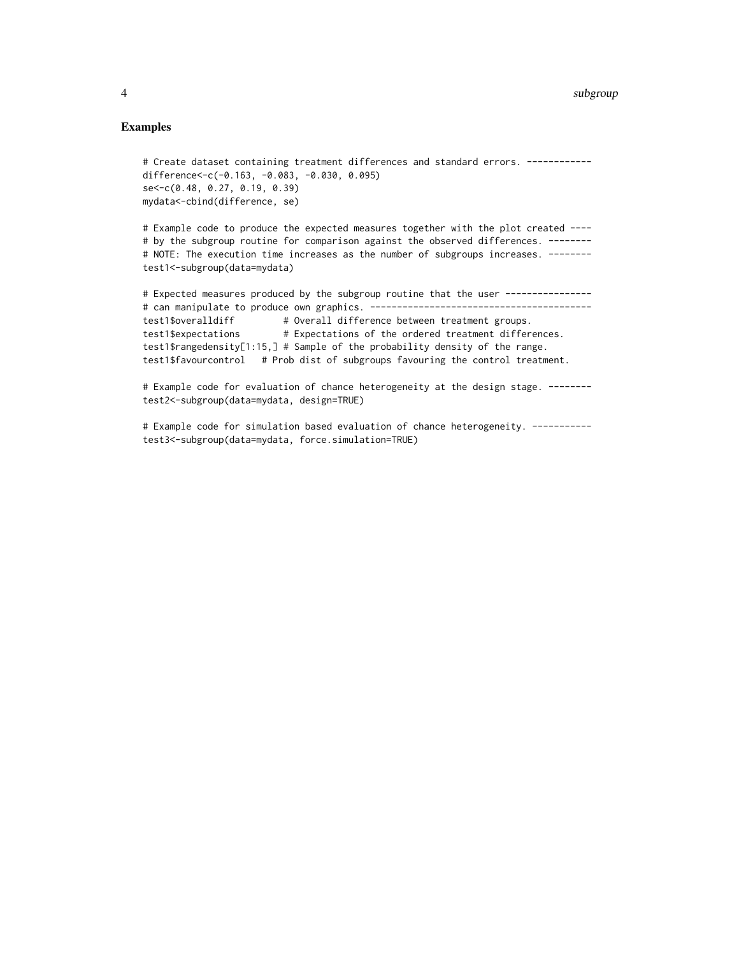#### Examples

```
# Create dataset containing treatment differences and standard errors. -----------
difference<-c(-0.163, -0.083, -0.030, 0.095)
se<-c(0.48, 0.27, 0.19, 0.39)
mydata<-cbind(difference, se)
```
# Example code to produce the expected measures together with the plot created ---- # by the subgroup routine for comparison against the observed differences. -------# NOTE: The execution time increases as the number of subgroups increases. ------test1<-subgroup(data=mydata)

```
# Expected measures produced by the subgroup routine that the user ---------------
# can manipulate to produce own graphics. -----------------------------------------
test1$overalldiff # Overall difference between treatment groups.
test1$expectations # Expectations of the ordered treatment differences.
test1$rangedensity[1:15,] # Sample of the probability density of the range.
test1$favourcontrol # Prob dist of subgroups favouring the control treatment.
```
# Example code for evaluation of chance heterogeneity at the design stage. ------- test2<-subgroup(data=mydata, design=TRUE)

# Example code for simulation based evaluation of chance heterogeneity. ---------test3<-subgroup(data=mydata, force.simulation=TRUE)